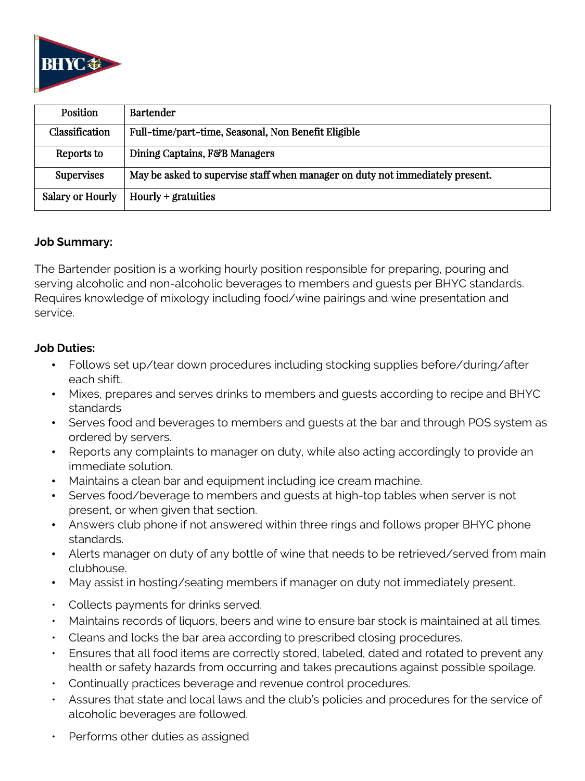

| Position                | <b>Bartender</b>                                                              |
|-------------------------|-------------------------------------------------------------------------------|
| <b>Classification</b>   | Full-time/part-time, Seasonal, Non Benefit Eligible                           |
| Reports to              | Dining Captains, F&B Managers                                                 |
| <b>Supervises</b>       | May be asked to supervise staff when manager on duty not immediately present. |
| <b>Salary or Hourly</b> | $Hourly +$ gratuities                                                         |

#### **Job Summary:**

The Bartender position is a working hourly position responsible for preparing, pouring and serving alcoholic and non-alcoholic beverages to members and guests per BHYC standards. Requires knowledge of mixology including food/wine pairings and wine presentation and service.

## **Job Duties:**

- Follows set up/tear down procedures including stocking supplies before/during/after each shift.
- Mixes, prepares and serves drinks to members and guests according to recipe and BHYC standards
- Serves food and beverages to members and guests at the bar and through POS system as ordered by servers.
- Reports any complaints to manager on duty, while also acting accordingly to provide an immediate solution.
- Maintains a clean bar and equipment including ice cream machine.
- Serves food/beverage to members and guests at high-top tables when server is not present, or when given that section.
- Answers club phone if not answered within three rings and follows proper BHYC phone standards.
- Alerts manager on duty of any bottle of wine that needs to be retrieved/served from main clubhouse.
- May assist in hosting/seating members if manager on duty not immediately present.
- Collects payments for drinks served.
- Maintains records of liquors, beers and wine to ensure bar stock is maintained at all times.
- Cleans and locks the bar area according to prescribed closing procedures.
- Ensures that all food items are correctly stored, labeled, dated and rotated to prevent any health or safety hazards from occurring and takes precautions against possible spoilage.
- Continually practices beverage and revenue control procedures.
- Assures that state and local laws and the club's policies and procedures for the service of alcoholic beverages are followed.
- Performs other duties as assigned